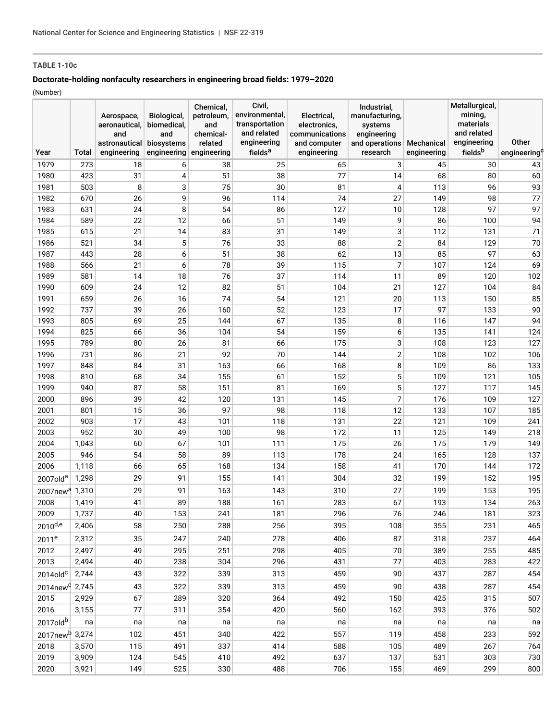## **TABLE 1-10c**

## **Doctorate-holding nonfaculty researchers in engineering broad fields: 1979–2020**

(Number)

| fieldsb<br>fields <sup>a</sup><br>Year<br>engineering<br>engineering<br>engineering<br>engineering<br>research<br>engineering<br>engineering <sup>c</sup><br>Total<br>1979<br>6<br>3<br>30<br>273<br>18<br>25<br>45<br>38<br>65<br>43<br>31<br>77<br>4<br>51<br>14<br>68<br>80<br>60<br>1980<br>423<br>38<br>8<br>3<br>75<br>93<br>1981<br>503<br>30<br>81<br>113<br>96<br>4<br>77<br>9<br>74<br>1982<br>670<br>26<br>96<br>114<br>27<br>149<br>98<br>97<br>97<br>1983<br>24<br>8<br>54<br>127<br>128<br>631<br>86<br>10<br>22<br>12<br>86<br>94<br>1984<br>589<br>66<br>51<br>149<br>9<br>100<br>71<br>1985<br>615<br>21<br>14<br>83<br>31<br>149<br>3<br>112<br>131<br>$\mathbf 5$<br>$\overline{2}$<br>76<br>70<br>1986<br>521<br>34<br>88<br>84<br>129<br>33<br>85<br>63<br>1987<br>28<br>6<br>51<br>38<br>62<br>13<br>97<br>443<br>$\overline{7}$<br>21<br>6<br>78<br>69<br>1988<br>566<br>39<br>115<br>107<br>124<br>1989<br>76<br>102<br>581<br>14<br>18<br>37<br>114<br>89<br>120<br>11<br>12<br>84<br>1990<br>24<br>82<br>51<br>104<br>21<br>127<br>104<br>609<br>74<br>85<br>1991<br>659<br>26<br>16<br>54<br>121<br>20<br>113<br>150<br>97<br>90<br>1992<br>737<br>39<br>26<br>160<br>52<br>123<br>17<br>133<br>94<br>1993<br>805<br>69<br>25<br>144<br>67<br>135<br>116<br>147<br>8<br>36<br>135<br>1994<br>825<br>66<br>104<br>54<br>159<br>6<br>141<br>124<br>1995<br>789<br>80<br>26<br>175<br>3<br>108<br>123<br>127<br>81<br>66<br>$\overline{2}$<br>108<br>1996<br>731<br>86<br>21<br>92<br>70<br>144<br>102<br>106<br>163<br>8<br>1997<br>84<br>31<br>66<br>168<br>109<br>86<br>133<br>848<br>5<br>68<br>34<br>155<br>152<br>109<br>121<br>105<br>1998<br>810<br>61<br>5<br>87<br>58<br>151<br>169<br>127<br>145<br>1999<br>940<br>81<br>117<br>7<br>39<br>42<br>145<br>109<br>127<br>2000<br>896<br>120<br>131<br>176<br>15<br>36<br>12<br>2001<br>801<br>97<br>98<br>118<br>133<br>107<br>185<br>17<br>43<br>22<br>121<br>241<br>2002<br>903<br>101<br>118<br>131<br>109<br>30<br>49<br>172<br>2003<br>952<br>100<br>98<br>11<br>125<br>149<br>218<br>60<br>175<br>175<br>2004<br>1,043<br>67<br>111<br>26<br>179<br>149<br>101<br>54<br>2005<br>946<br>58<br>89<br>113<br>178<br>24<br>165<br>128<br>137<br>2006<br>1,118<br>66<br>65<br>168<br>134<br>158<br>41<br>170<br>144<br>172<br>29<br>1,298<br>91<br>155<br>141<br>304<br>32<br>199<br>152<br>195<br>2007old <sup>a</sup><br>195<br>29<br>91<br>163<br>143<br>310<br>27<br>199<br>153<br>1,310<br>$2007$ new $a$<br>263<br>2008<br>1,419<br>41<br>89<br>188<br>161<br>283<br>67<br>193<br>134<br>2009<br>1,737<br>40<br>153<br>241<br>181<br>296<br>76<br>246<br>181<br>323<br>2010d,e<br>58<br>250<br>395<br>108<br>355<br>465<br>2,406<br>288<br>256<br>231<br>35<br>247<br>278<br>406<br>87<br>318<br>237<br>464<br>2011 <sup>e</sup><br>2,312<br>240<br>2012<br>49<br>295<br>298<br>405<br>70<br>389<br>255<br>485<br>2,497<br>251<br>2013<br>77<br>422<br>40<br>238<br>304<br>296<br>431<br>403<br>283<br>2,494<br>43<br>322<br>459<br>90<br>454<br>2,744<br>339<br>313<br>437<br>287<br>$2014$ old $c$<br>322<br>90<br>454<br>2014new <sup>c</sup> 2,745<br>43<br>339<br>313<br>459<br>438<br>287<br>2015<br>67<br>289<br>320<br>492<br>425<br>507<br>2,929<br>364<br>150<br>315<br>2016<br>77<br>354<br>502<br>3,155<br>311<br>420<br>560<br>162<br>393<br>376<br>2017oldb<br>na<br>na<br>na<br>na<br>na<br>na<br>na<br>na<br>na<br>na<br>2017new <sup>b</sup> 3,274<br>102<br>451<br>557<br>233<br>592<br>340<br>422<br>119<br>458<br>2018<br>3,570<br>115<br>491<br>337<br>588<br>105<br>489<br>267<br>764<br>414<br>2019<br>637<br>137<br>3,909<br>124<br>545<br>410<br>492<br>531<br>303<br>730<br>2020<br>3,921<br>149<br>525<br>330<br>488<br>706<br>155<br>469<br>299<br>800 |  | Aerospace,<br>aeronautical,<br>and<br>astronautical | Biological,<br>biomedical,<br>and<br>biosystems | Chemical,<br>petroleum,<br>and<br>chemical-<br>related | Civil,<br>environmental,<br>transportation<br>and related<br>engineering | Electrical,<br>electronics.<br>communications<br>and computer | Industrial,<br>manufacturing,<br>systems<br>engineering<br>and operations | Mechanical | Metallurgical,<br>mining,<br>materials<br>and related<br>engineering | Other |
|---------------------------------------------------------------------------------------------------------------------------------------------------------------------------------------------------------------------------------------------------------------------------------------------------------------------------------------------------------------------------------------------------------------------------------------------------------------------------------------------------------------------------------------------------------------------------------------------------------------------------------------------------------------------------------------------------------------------------------------------------------------------------------------------------------------------------------------------------------------------------------------------------------------------------------------------------------------------------------------------------------------------------------------------------------------------------------------------------------------------------------------------------------------------------------------------------------------------------------------------------------------------------------------------------------------------------------------------------------------------------------------------------------------------------------------------------------------------------------------------------------------------------------------------------------------------------------------------------------------------------------------------------------------------------------------------------------------------------------------------------------------------------------------------------------------------------------------------------------------------------------------------------------------------------------------------------------------------------------------------------------------------------------------------------------------------------------------------------------------------------------------------------------------------------------------------------------------------------------------------------------------------------------------------------------------------------------------------------------------------------------------------------------------------------------------------------------------------------------------------------------------------------------------------------------------------------------------------------------------------------------------------------------------------------------------------------------------------------------------------------------------------------------------------------------------------------------------------------------------------------------------------------------------------------------------------------------------------------------------------------------------------------------------------------------------------------------------------------------------------------------------------------------------------------------------------------------------------------------------------------------------------------------------------------------------------------------------------------------------------------------------------------------------------------------------------------------------------------------------------------------------------------------------------------------------------------------------------------------------------------------------------------------------------------------------------------------------------------------------------------------------------------|--|-----------------------------------------------------|-------------------------------------------------|--------------------------------------------------------|--------------------------------------------------------------------------|---------------------------------------------------------------|---------------------------------------------------------------------------|------------|----------------------------------------------------------------------|-------|
|                                                                                                                                                                                                                                                                                                                                                                                                                                                                                                                                                                                                                                                                                                                                                                                                                                                                                                                                                                                                                                                                                                                                                                                                                                                                                                                                                                                                                                                                                                                                                                                                                                                                                                                                                                                                                                                                                                                                                                                                                                                                                                                                                                                                                                                                                                                                                                                                                                                                                                                                                                                                                                                                                                                                                                                                                                                                                                                                                                                                                                                                                                                                                                                                                                                                                                                                                                                                                                                                                                                                                                                                                                                                                                                                                                           |  |                                                     |                                                 |                                                        |                                                                          |                                                               |                                                                           |            |                                                                      |       |
|                                                                                                                                                                                                                                                                                                                                                                                                                                                                                                                                                                                                                                                                                                                                                                                                                                                                                                                                                                                                                                                                                                                                                                                                                                                                                                                                                                                                                                                                                                                                                                                                                                                                                                                                                                                                                                                                                                                                                                                                                                                                                                                                                                                                                                                                                                                                                                                                                                                                                                                                                                                                                                                                                                                                                                                                                                                                                                                                                                                                                                                                                                                                                                                                                                                                                                                                                                                                                                                                                                                                                                                                                                                                                                                                                                           |  |                                                     |                                                 |                                                        |                                                                          |                                                               |                                                                           |            |                                                                      |       |
|                                                                                                                                                                                                                                                                                                                                                                                                                                                                                                                                                                                                                                                                                                                                                                                                                                                                                                                                                                                                                                                                                                                                                                                                                                                                                                                                                                                                                                                                                                                                                                                                                                                                                                                                                                                                                                                                                                                                                                                                                                                                                                                                                                                                                                                                                                                                                                                                                                                                                                                                                                                                                                                                                                                                                                                                                                                                                                                                                                                                                                                                                                                                                                                                                                                                                                                                                                                                                                                                                                                                                                                                                                                                                                                                                                           |  |                                                     |                                                 |                                                        |                                                                          |                                                               |                                                                           |            |                                                                      |       |
|                                                                                                                                                                                                                                                                                                                                                                                                                                                                                                                                                                                                                                                                                                                                                                                                                                                                                                                                                                                                                                                                                                                                                                                                                                                                                                                                                                                                                                                                                                                                                                                                                                                                                                                                                                                                                                                                                                                                                                                                                                                                                                                                                                                                                                                                                                                                                                                                                                                                                                                                                                                                                                                                                                                                                                                                                                                                                                                                                                                                                                                                                                                                                                                                                                                                                                                                                                                                                                                                                                                                                                                                                                                                                                                                                                           |  |                                                     |                                                 |                                                        |                                                                          |                                                               |                                                                           |            |                                                                      |       |
|                                                                                                                                                                                                                                                                                                                                                                                                                                                                                                                                                                                                                                                                                                                                                                                                                                                                                                                                                                                                                                                                                                                                                                                                                                                                                                                                                                                                                                                                                                                                                                                                                                                                                                                                                                                                                                                                                                                                                                                                                                                                                                                                                                                                                                                                                                                                                                                                                                                                                                                                                                                                                                                                                                                                                                                                                                                                                                                                                                                                                                                                                                                                                                                                                                                                                                                                                                                                                                                                                                                                                                                                                                                                                                                                                                           |  |                                                     |                                                 |                                                        |                                                                          |                                                               |                                                                           |            |                                                                      |       |
|                                                                                                                                                                                                                                                                                                                                                                                                                                                                                                                                                                                                                                                                                                                                                                                                                                                                                                                                                                                                                                                                                                                                                                                                                                                                                                                                                                                                                                                                                                                                                                                                                                                                                                                                                                                                                                                                                                                                                                                                                                                                                                                                                                                                                                                                                                                                                                                                                                                                                                                                                                                                                                                                                                                                                                                                                                                                                                                                                                                                                                                                                                                                                                                                                                                                                                                                                                                                                                                                                                                                                                                                                                                                                                                                                                           |  |                                                     |                                                 |                                                        |                                                                          |                                                               |                                                                           |            |                                                                      |       |
|                                                                                                                                                                                                                                                                                                                                                                                                                                                                                                                                                                                                                                                                                                                                                                                                                                                                                                                                                                                                                                                                                                                                                                                                                                                                                                                                                                                                                                                                                                                                                                                                                                                                                                                                                                                                                                                                                                                                                                                                                                                                                                                                                                                                                                                                                                                                                                                                                                                                                                                                                                                                                                                                                                                                                                                                                                                                                                                                                                                                                                                                                                                                                                                                                                                                                                                                                                                                                                                                                                                                                                                                                                                                                                                                                                           |  |                                                     |                                                 |                                                        |                                                                          |                                                               |                                                                           |            |                                                                      |       |
|                                                                                                                                                                                                                                                                                                                                                                                                                                                                                                                                                                                                                                                                                                                                                                                                                                                                                                                                                                                                                                                                                                                                                                                                                                                                                                                                                                                                                                                                                                                                                                                                                                                                                                                                                                                                                                                                                                                                                                                                                                                                                                                                                                                                                                                                                                                                                                                                                                                                                                                                                                                                                                                                                                                                                                                                                                                                                                                                                                                                                                                                                                                                                                                                                                                                                                                                                                                                                                                                                                                                                                                                                                                                                                                                                                           |  |                                                     |                                                 |                                                        |                                                                          |                                                               |                                                                           |            |                                                                      |       |
|                                                                                                                                                                                                                                                                                                                                                                                                                                                                                                                                                                                                                                                                                                                                                                                                                                                                                                                                                                                                                                                                                                                                                                                                                                                                                                                                                                                                                                                                                                                                                                                                                                                                                                                                                                                                                                                                                                                                                                                                                                                                                                                                                                                                                                                                                                                                                                                                                                                                                                                                                                                                                                                                                                                                                                                                                                                                                                                                                                                                                                                                                                                                                                                                                                                                                                                                                                                                                                                                                                                                                                                                                                                                                                                                                                           |  |                                                     |                                                 |                                                        |                                                                          |                                                               |                                                                           |            |                                                                      |       |
|                                                                                                                                                                                                                                                                                                                                                                                                                                                                                                                                                                                                                                                                                                                                                                                                                                                                                                                                                                                                                                                                                                                                                                                                                                                                                                                                                                                                                                                                                                                                                                                                                                                                                                                                                                                                                                                                                                                                                                                                                                                                                                                                                                                                                                                                                                                                                                                                                                                                                                                                                                                                                                                                                                                                                                                                                                                                                                                                                                                                                                                                                                                                                                                                                                                                                                                                                                                                                                                                                                                                                                                                                                                                                                                                                                           |  |                                                     |                                                 |                                                        |                                                                          |                                                               |                                                                           |            |                                                                      |       |
|                                                                                                                                                                                                                                                                                                                                                                                                                                                                                                                                                                                                                                                                                                                                                                                                                                                                                                                                                                                                                                                                                                                                                                                                                                                                                                                                                                                                                                                                                                                                                                                                                                                                                                                                                                                                                                                                                                                                                                                                                                                                                                                                                                                                                                                                                                                                                                                                                                                                                                                                                                                                                                                                                                                                                                                                                                                                                                                                                                                                                                                                                                                                                                                                                                                                                                                                                                                                                                                                                                                                                                                                                                                                                                                                                                           |  |                                                     |                                                 |                                                        |                                                                          |                                                               |                                                                           |            |                                                                      |       |
|                                                                                                                                                                                                                                                                                                                                                                                                                                                                                                                                                                                                                                                                                                                                                                                                                                                                                                                                                                                                                                                                                                                                                                                                                                                                                                                                                                                                                                                                                                                                                                                                                                                                                                                                                                                                                                                                                                                                                                                                                                                                                                                                                                                                                                                                                                                                                                                                                                                                                                                                                                                                                                                                                                                                                                                                                                                                                                                                                                                                                                                                                                                                                                                                                                                                                                                                                                                                                                                                                                                                                                                                                                                                                                                                                                           |  |                                                     |                                                 |                                                        |                                                                          |                                                               |                                                                           |            |                                                                      |       |
|                                                                                                                                                                                                                                                                                                                                                                                                                                                                                                                                                                                                                                                                                                                                                                                                                                                                                                                                                                                                                                                                                                                                                                                                                                                                                                                                                                                                                                                                                                                                                                                                                                                                                                                                                                                                                                                                                                                                                                                                                                                                                                                                                                                                                                                                                                                                                                                                                                                                                                                                                                                                                                                                                                                                                                                                                                                                                                                                                                                                                                                                                                                                                                                                                                                                                                                                                                                                                                                                                                                                                                                                                                                                                                                                                                           |  |                                                     |                                                 |                                                        |                                                                          |                                                               |                                                                           |            |                                                                      |       |
|                                                                                                                                                                                                                                                                                                                                                                                                                                                                                                                                                                                                                                                                                                                                                                                                                                                                                                                                                                                                                                                                                                                                                                                                                                                                                                                                                                                                                                                                                                                                                                                                                                                                                                                                                                                                                                                                                                                                                                                                                                                                                                                                                                                                                                                                                                                                                                                                                                                                                                                                                                                                                                                                                                                                                                                                                                                                                                                                                                                                                                                                                                                                                                                                                                                                                                                                                                                                                                                                                                                                                                                                                                                                                                                                                                           |  |                                                     |                                                 |                                                        |                                                                          |                                                               |                                                                           |            |                                                                      |       |
|                                                                                                                                                                                                                                                                                                                                                                                                                                                                                                                                                                                                                                                                                                                                                                                                                                                                                                                                                                                                                                                                                                                                                                                                                                                                                                                                                                                                                                                                                                                                                                                                                                                                                                                                                                                                                                                                                                                                                                                                                                                                                                                                                                                                                                                                                                                                                                                                                                                                                                                                                                                                                                                                                                                                                                                                                                                                                                                                                                                                                                                                                                                                                                                                                                                                                                                                                                                                                                                                                                                                                                                                                                                                                                                                                                           |  |                                                     |                                                 |                                                        |                                                                          |                                                               |                                                                           |            |                                                                      |       |
|                                                                                                                                                                                                                                                                                                                                                                                                                                                                                                                                                                                                                                                                                                                                                                                                                                                                                                                                                                                                                                                                                                                                                                                                                                                                                                                                                                                                                                                                                                                                                                                                                                                                                                                                                                                                                                                                                                                                                                                                                                                                                                                                                                                                                                                                                                                                                                                                                                                                                                                                                                                                                                                                                                                                                                                                                                                                                                                                                                                                                                                                                                                                                                                                                                                                                                                                                                                                                                                                                                                                                                                                                                                                                                                                                                           |  |                                                     |                                                 |                                                        |                                                                          |                                                               |                                                                           |            |                                                                      |       |
|                                                                                                                                                                                                                                                                                                                                                                                                                                                                                                                                                                                                                                                                                                                                                                                                                                                                                                                                                                                                                                                                                                                                                                                                                                                                                                                                                                                                                                                                                                                                                                                                                                                                                                                                                                                                                                                                                                                                                                                                                                                                                                                                                                                                                                                                                                                                                                                                                                                                                                                                                                                                                                                                                                                                                                                                                                                                                                                                                                                                                                                                                                                                                                                                                                                                                                                                                                                                                                                                                                                                                                                                                                                                                                                                                                           |  |                                                     |                                                 |                                                        |                                                                          |                                                               |                                                                           |            |                                                                      |       |
|                                                                                                                                                                                                                                                                                                                                                                                                                                                                                                                                                                                                                                                                                                                                                                                                                                                                                                                                                                                                                                                                                                                                                                                                                                                                                                                                                                                                                                                                                                                                                                                                                                                                                                                                                                                                                                                                                                                                                                                                                                                                                                                                                                                                                                                                                                                                                                                                                                                                                                                                                                                                                                                                                                                                                                                                                                                                                                                                                                                                                                                                                                                                                                                                                                                                                                                                                                                                                                                                                                                                                                                                                                                                                                                                                                           |  |                                                     |                                                 |                                                        |                                                                          |                                                               |                                                                           |            |                                                                      |       |
|                                                                                                                                                                                                                                                                                                                                                                                                                                                                                                                                                                                                                                                                                                                                                                                                                                                                                                                                                                                                                                                                                                                                                                                                                                                                                                                                                                                                                                                                                                                                                                                                                                                                                                                                                                                                                                                                                                                                                                                                                                                                                                                                                                                                                                                                                                                                                                                                                                                                                                                                                                                                                                                                                                                                                                                                                                                                                                                                                                                                                                                                                                                                                                                                                                                                                                                                                                                                                                                                                                                                                                                                                                                                                                                                                                           |  |                                                     |                                                 |                                                        |                                                                          |                                                               |                                                                           |            |                                                                      |       |
|                                                                                                                                                                                                                                                                                                                                                                                                                                                                                                                                                                                                                                                                                                                                                                                                                                                                                                                                                                                                                                                                                                                                                                                                                                                                                                                                                                                                                                                                                                                                                                                                                                                                                                                                                                                                                                                                                                                                                                                                                                                                                                                                                                                                                                                                                                                                                                                                                                                                                                                                                                                                                                                                                                                                                                                                                                                                                                                                                                                                                                                                                                                                                                                                                                                                                                                                                                                                                                                                                                                                                                                                                                                                                                                                                                           |  |                                                     |                                                 |                                                        |                                                                          |                                                               |                                                                           |            |                                                                      |       |
|                                                                                                                                                                                                                                                                                                                                                                                                                                                                                                                                                                                                                                                                                                                                                                                                                                                                                                                                                                                                                                                                                                                                                                                                                                                                                                                                                                                                                                                                                                                                                                                                                                                                                                                                                                                                                                                                                                                                                                                                                                                                                                                                                                                                                                                                                                                                                                                                                                                                                                                                                                                                                                                                                                                                                                                                                                                                                                                                                                                                                                                                                                                                                                                                                                                                                                                                                                                                                                                                                                                                                                                                                                                                                                                                                                           |  |                                                     |                                                 |                                                        |                                                                          |                                                               |                                                                           |            |                                                                      |       |
|                                                                                                                                                                                                                                                                                                                                                                                                                                                                                                                                                                                                                                                                                                                                                                                                                                                                                                                                                                                                                                                                                                                                                                                                                                                                                                                                                                                                                                                                                                                                                                                                                                                                                                                                                                                                                                                                                                                                                                                                                                                                                                                                                                                                                                                                                                                                                                                                                                                                                                                                                                                                                                                                                                                                                                                                                                                                                                                                                                                                                                                                                                                                                                                                                                                                                                                                                                                                                                                                                                                                                                                                                                                                                                                                                                           |  |                                                     |                                                 |                                                        |                                                                          |                                                               |                                                                           |            |                                                                      |       |
|                                                                                                                                                                                                                                                                                                                                                                                                                                                                                                                                                                                                                                                                                                                                                                                                                                                                                                                                                                                                                                                                                                                                                                                                                                                                                                                                                                                                                                                                                                                                                                                                                                                                                                                                                                                                                                                                                                                                                                                                                                                                                                                                                                                                                                                                                                                                                                                                                                                                                                                                                                                                                                                                                                                                                                                                                                                                                                                                                                                                                                                                                                                                                                                                                                                                                                                                                                                                                                                                                                                                                                                                                                                                                                                                                                           |  |                                                     |                                                 |                                                        |                                                                          |                                                               |                                                                           |            |                                                                      |       |
|                                                                                                                                                                                                                                                                                                                                                                                                                                                                                                                                                                                                                                                                                                                                                                                                                                                                                                                                                                                                                                                                                                                                                                                                                                                                                                                                                                                                                                                                                                                                                                                                                                                                                                                                                                                                                                                                                                                                                                                                                                                                                                                                                                                                                                                                                                                                                                                                                                                                                                                                                                                                                                                                                                                                                                                                                                                                                                                                                                                                                                                                                                                                                                                                                                                                                                                                                                                                                                                                                                                                                                                                                                                                                                                                                                           |  |                                                     |                                                 |                                                        |                                                                          |                                                               |                                                                           |            |                                                                      |       |
|                                                                                                                                                                                                                                                                                                                                                                                                                                                                                                                                                                                                                                                                                                                                                                                                                                                                                                                                                                                                                                                                                                                                                                                                                                                                                                                                                                                                                                                                                                                                                                                                                                                                                                                                                                                                                                                                                                                                                                                                                                                                                                                                                                                                                                                                                                                                                                                                                                                                                                                                                                                                                                                                                                                                                                                                                                                                                                                                                                                                                                                                                                                                                                                                                                                                                                                                                                                                                                                                                                                                                                                                                                                                                                                                                                           |  |                                                     |                                                 |                                                        |                                                                          |                                                               |                                                                           |            |                                                                      |       |
|                                                                                                                                                                                                                                                                                                                                                                                                                                                                                                                                                                                                                                                                                                                                                                                                                                                                                                                                                                                                                                                                                                                                                                                                                                                                                                                                                                                                                                                                                                                                                                                                                                                                                                                                                                                                                                                                                                                                                                                                                                                                                                                                                                                                                                                                                                                                                                                                                                                                                                                                                                                                                                                                                                                                                                                                                                                                                                                                                                                                                                                                                                                                                                                                                                                                                                                                                                                                                                                                                                                                                                                                                                                                                                                                                                           |  |                                                     |                                                 |                                                        |                                                                          |                                                               |                                                                           |            |                                                                      |       |
|                                                                                                                                                                                                                                                                                                                                                                                                                                                                                                                                                                                                                                                                                                                                                                                                                                                                                                                                                                                                                                                                                                                                                                                                                                                                                                                                                                                                                                                                                                                                                                                                                                                                                                                                                                                                                                                                                                                                                                                                                                                                                                                                                                                                                                                                                                                                                                                                                                                                                                                                                                                                                                                                                                                                                                                                                                                                                                                                                                                                                                                                                                                                                                                                                                                                                                                                                                                                                                                                                                                                                                                                                                                                                                                                                                           |  |                                                     |                                                 |                                                        |                                                                          |                                                               |                                                                           |            |                                                                      |       |
|                                                                                                                                                                                                                                                                                                                                                                                                                                                                                                                                                                                                                                                                                                                                                                                                                                                                                                                                                                                                                                                                                                                                                                                                                                                                                                                                                                                                                                                                                                                                                                                                                                                                                                                                                                                                                                                                                                                                                                                                                                                                                                                                                                                                                                                                                                                                                                                                                                                                                                                                                                                                                                                                                                                                                                                                                                                                                                                                                                                                                                                                                                                                                                                                                                                                                                                                                                                                                                                                                                                                                                                                                                                                                                                                                                           |  |                                                     |                                                 |                                                        |                                                                          |                                                               |                                                                           |            |                                                                      |       |
|                                                                                                                                                                                                                                                                                                                                                                                                                                                                                                                                                                                                                                                                                                                                                                                                                                                                                                                                                                                                                                                                                                                                                                                                                                                                                                                                                                                                                                                                                                                                                                                                                                                                                                                                                                                                                                                                                                                                                                                                                                                                                                                                                                                                                                                                                                                                                                                                                                                                                                                                                                                                                                                                                                                                                                                                                                                                                                                                                                                                                                                                                                                                                                                                                                                                                                                                                                                                                                                                                                                                                                                                                                                                                                                                                                           |  |                                                     |                                                 |                                                        |                                                                          |                                                               |                                                                           |            |                                                                      |       |
|                                                                                                                                                                                                                                                                                                                                                                                                                                                                                                                                                                                                                                                                                                                                                                                                                                                                                                                                                                                                                                                                                                                                                                                                                                                                                                                                                                                                                                                                                                                                                                                                                                                                                                                                                                                                                                                                                                                                                                                                                                                                                                                                                                                                                                                                                                                                                                                                                                                                                                                                                                                                                                                                                                                                                                                                                                                                                                                                                                                                                                                                                                                                                                                                                                                                                                                                                                                                                                                                                                                                                                                                                                                                                                                                                                           |  |                                                     |                                                 |                                                        |                                                                          |                                                               |                                                                           |            |                                                                      |       |
|                                                                                                                                                                                                                                                                                                                                                                                                                                                                                                                                                                                                                                                                                                                                                                                                                                                                                                                                                                                                                                                                                                                                                                                                                                                                                                                                                                                                                                                                                                                                                                                                                                                                                                                                                                                                                                                                                                                                                                                                                                                                                                                                                                                                                                                                                                                                                                                                                                                                                                                                                                                                                                                                                                                                                                                                                                                                                                                                                                                                                                                                                                                                                                                                                                                                                                                                                                                                                                                                                                                                                                                                                                                                                                                                                                           |  |                                                     |                                                 |                                                        |                                                                          |                                                               |                                                                           |            |                                                                      |       |
|                                                                                                                                                                                                                                                                                                                                                                                                                                                                                                                                                                                                                                                                                                                                                                                                                                                                                                                                                                                                                                                                                                                                                                                                                                                                                                                                                                                                                                                                                                                                                                                                                                                                                                                                                                                                                                                                                                                                                                                                                                                                                                                                                                                                                                                                                                                                                                                                                                                                                                                                                                                                                                                                                                                                                                                                                                                                                                                                                                                                                                                                                                                                                                                                                                                                                                                                                                                                                                                                                                                                                                                                                                                                                                                                                                           |  |                                                     |                                                 |                                                        |                                                                          |                                                               |                                                                           |            |                                                                      |       |
|                                                                                                                                                                                                                                                                                                                                                                                                                                                                                                                                                                                                                                                                                                                                                                                                                                                                                                                                                                                                                                                                                                                                                                                                                                                                                                                                                                                                                                                                                                                                                                                                                                                                                                                                                                                                                                                                                                                                                                                                                                                                                                                                                                                                                                                                                                                                                                                                                                                                                                                                                                                                                                                                                                                                                                                                                                                                                                                                                                                                                                                                                                                                                                                                                                                                                                                                                                                                                                                                                                                                                                                                                                                                                                                                                                           |  |                                                     |                                                 |                                                        |                                                                          |                                                               |                                                                           |            |                                                                      |       |
|                                                                                                                                                                                                                                                                                                                                                                                                                                                                                                                                                                                                                                                                                                                                                                                                                                                                                                                                                                                                                                                                                                                                                                                                                                                                                                                                                                                                                                                                                                                                                                                                                                                                                                                                                                                                                                                                                                                                                                                                                                                                                                                                                                                                                                                                                                                                                                                                                                                                                                                                                                                                                                                                                                                                                                                                                                                                                                                                                                                                                                                                                                                                                                                                                                                                                                                                                                                                                                                                                                                                                                                                                                                                                                                                                                           |  |                                                     |                                                 |                                                        |                                                                          |                                                               |                                                                           |            |                                                                      |       |
|                                                                                                                                                                                                                                                                                                                                                                                                                                                                                                                                                                                                                                                                                                                                                                                                                                                                                                                                                                                                                                                                                                                                                                                                                                                                                                                                                                                                                                                                                                                                                                                                                                                                                                                                                                                                                                                                                                                                                                                                                                                                                                                                                                                                                                                                                                                                                                                                                                                                                                                                                                                                                                                                                                                                                                                                                                                                                                                                                                                                                                                                                                                                                                                                                                                                                                                                                                                                                                                                                                                                                                                                                                                                                                                                                                           |  |                                                     |                                                 |                                                        |                                                                          |                                                               |                                                                           |            |                                                                      |       |
|                                                                                                                                                                                                                                                                                                                                                                                                                                                                                                                                                                                                                                                                                                                                                                                                                                                                                                                                                                                                                                                                                                                                                                                                                                                                                                                                                                                                                                                                                                                                                                                                                                                                                                                                                                                                                                                                                                                                                                                                                                                                                                                                                                                                                                                                                                                                                                                                                                                                                                                                                                                                                                                                                                                                                                                                                                                                                                                                                                                                                                                                                                                                                                                                                                                                                                                                                                                                                                                                                                                                                                                                                                                                                                                                                                           |  |                                                     |                                                 |                                                        |                                                                          |                                                               |                                                                           |            |                                                                      |       |
|                                                                                                                                                                                                                                                                                                                                                                                                                                                                                                                                                                                                                                                                                                                                                                                                                                                                                                                                                                                                                                                                                                                                                                                                                                                                                                                                                                                                                                                                                                                                                                                                                                                                                                                                                                                                                                                                                                                                                                                                                                                                                                                                                                                                                                                                                                                                                                                                                                                                                                                                                                                                                                                                                                                                                                                                                                                                                                                                                                                                                                                                                                                                                                                                                                                                                                                                                                                                                                                                                                                                                                                                                                                                                                                                                                           |  |                                                     |                                                 |                                                        |                                                                          |                                                               |                                                                           |            |                                                                      |       |
|                                                                                                                                                                                                                                                                                                                                                                                                                                                                                                                                                                                                                                                                                                                                                                                                                                                                                                                                                                                                                                                                                                                                                                                                                                                                                                                                                                                                                                                                                                                                                                                                                                                                                                                                                                                                                                                                                                                                                                                                                                                                                                                                                                                                                                                                                                                                                                                                                                                                                                                                                                                                                                                                                                                                                                                                                                                                                                                                                                                                                                                                                                                                                                                                                                                                                                                                                                                                                                                                                                                                                                                                                                                                                                                                                                           |  |                                                     |                                                 |                                                        |                                                                          |                                                               |                                                                           |            |                                                                      |       |
|                                                                                                                                                                                                                                                                                                                                                                                                                                                                                                                                                                                                                                                                                                                                                                                                                                                                                                                                                                                                                                                                                                                                                                                                                                                                                                                                                                                                                                                                                                                                                                                                                                                                                                                                                                                                                                                                                                                                                                                                                                                                                                                                                                                                                                                                                                                                                                                                                                                                                                                                                                                                                                                                                                                                                                                                                                                                                                                                                                                                                                                                                                                                                                                                                                                                                                                                                                                                                                                                                                                                                                                                                                                                                                                                                                           |  |                                                     |                                                 |                                                        |                                                                          |                                                               |                                                                           |            |                                                                      |       |
|                                                                                                                                                                                                                                                                                                                                                                                                                                                                                                                                                                                                                                                                                                                                                                                                                                                                                                                                                                                                                                                                                                                                                                                                                                                                                                                                                                                                                                                                                                                                                                                                                                                                                                                                                                                                                                                                                                                                                                                                                                                                                                                                                                                                                                                                                                                                                                                                                                                                                                                                                                                                                                                                                                                                                                                                                                                                                                                                                                                                                                                                                                                                                                                                                                                                                                                                                                                                                                                                                                                                                                                                                                                                                                                                                                           |  |                                                     |                                                 |                                                        |                                                                          |                                                               |                                                                           |            |                                                                      |       |
|                                                                                                                                                                                                                                                                                                                                                                                                                                                                                                                                                                                                                                                                                                                                                                                                                                                                                                                                                                                                                                                                                                                                                                                                                                                                                                                                                                                                                                                                                                                                                                                                                                                                                                                                                                                                                                                                                                                                                                                                                                                                                                                                                                                                                                                                                                                                                                                                                                                                                                                                                                                                                                                                                                                                                                                                                                                                                                                                                                                                                                                                                                                                                                                                                                                                                                                                                                                                                                                                                                                                                                                                                                                                                                                                                                           |  |                                                     |                                                 |                                                        |                                                                          |                                                               |                                                                           |            |                                                                      |       |
|                                                                                                                                                                                                                                                                                                                                                                                                                                                                                                                                                                                                                                                                                                                                                                                                                                                                                                                                                                                                                                                                                                                                                                                                                                                                                                                                                                                                                                                                                                                                                                                                                                                                                                                                                                                                                                                                                                                                                                                                                                                                                                                                                                                                                                                                                                                                                                                                                                                                                                                                                                                                                                                                                                                                                                                                                                                                                                                                                                                                                                                                                                                                                                                                                                                                                                                                                                                                                                                                                                                                                                                                                                                                                                                                                                           |  |                                                     |                                                 |                                                        |                                                                          |                                                               |                                                                           |            |                                                                      |       |
|                                                                                                                                                                                                                                                                                                                                                                                                                                                                                                                                                                                                                                                                                                                                                                                                                                                                                                                                                                                                                                                                                                                                                                                                                                                                                                                                                                                                                                                                                                                                                                                                                                                                                                                                                                                                                                                                                                                                                                                                                                                                                                                                                                                                                                                                                                                                                                                                                                                                                                                                                                                                                                                                                                                                                                                                                                                                                                                                                                                                                                                                                                                                                                                                                                                                                                                                                                                                                                                                                                                                                                                                                                                                                                                                                                           |  |                                                     |                                                 |                                                        |                                                                          |                                                               |                                                                           |            |                                                                      |       |
|                                                                                                                                                                                                                                                                                                                                                                                                                                                                                                                                                                                                                                                                                                                                                                                                                                                                                                                                                                                                                                                                                                                                                                                                                                                                                                                                                                                                                                                                                                                                                                                                                                                                                                                                                                                                                                                                                                                                                                                                                                                                                                                                                                                                                                                                                                                                                                                                                                                                                                                                                                                                                                                                                                                                                                                                                                                                                                                                                                                                                                                                                                                                                                                                                                                                                                                                                                                                                                                                                                                                                                                                                                                                                                                                                                           |  |                                                     |                                                 |                                                        |                                                                          |                                                               |                                                                           |            |                                                                      |       |
|                                                                                                                                                                                                                                                                                                                                                                                                                                                                                                                                                                                                                                                                                                                                                                                                                                                                                                                                                                                                                                                                                                                                                                                                                                                                                                                                                                                                                                                                                                                                                                                                                                                                                                                                                                                                                                                                                                                                                                                                                                                                                                                                                                                                                                                                                                                                                                                                                                                                                                                                                                                                                                                                                                                                                                                                                                                                                                                                                                                                                                                                                                                                                                                                                                                                                                                                                                                                                                                                                                                                                                                                                                                                                                                                                                           |  |                                                     |                                                 |                                                        |                                                                          |                                                               |                                                                           |            |                                                                      |       |
|                                                                                                                                                                                                                                                                                                                                                                                                                                                                                                                                                                                                                                                                                                                                                                                                                                                                                                                                                                                                                                                                                                                                                                                                                                                                                                                                                                                                                                                                                                                                                                                                                                                                                                                                                                                                                                                                                                                                                                                                                                                                                                                                                                                                                                                                                                                                                                                                                                                                                                                                                                                                                                                                                                                                                                                                                                                                                                                                                                                                                                                                                                                                                                                                                                                                                                                                                                                                                                                                                                                                                                                                                                                                                                                                                                           |  |                                                     |                                                 |                                                        |                                                                          |                                                               |                                                                           |            |                                                                      |       |